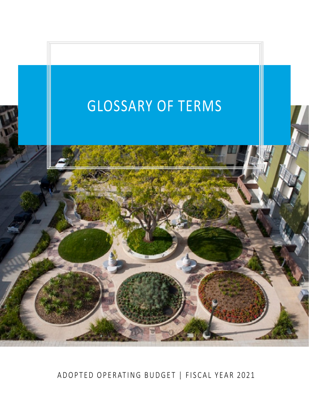

ADOPTED OPERATING BUDGET | FISCAL YEAR 2021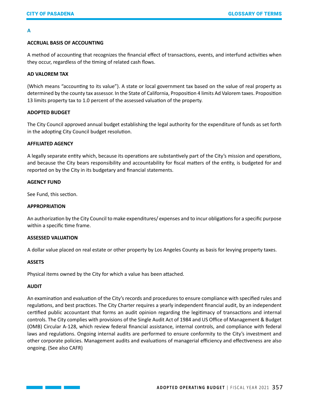# **A**

# **ACCRUAL BASIS OF ACCOUNTING**

A method of accounting that recognizes the financial effect of transactions, events, and interfund activities when they occur, regardless of the timing of related cash flows.

## **AD VALOREM TAX**

(Which means "accounting to its value"). A state or local government tax based on the value of real property as determined by the county tax assessor. In the State of California, Proposition 4 limits Ad Valorem taxes. Proposition 13 limits property tax to 1.0 percent of the assessed valuation of the property.

## **ADOPTED BUDGET**

The City Council approved annual budget establishing the legal authority for the expenditure of funds as set forth in the adopting City Council budget resolution.

## **AFFILIATED AGENCY**

A legally separate entity which, because its operations are substantively part of the City's mission and operations, and because the City bears responsibility and accountability for fiscal matters of the entity, is budgeted for and reported on by the City in its budgetary and financial statements.

## **AGENCY FUND**

See Fund, this section.

# **APPROPRIATION**

An authorization by the City Council to make expenditures/ expenses and to incur obligations for a specific purpose within a specific time frame.

### **ASSESSED VALUATION**

A dollar value placed on real estate or other property by Los Angeles County as basis for levying property taxes.

# **ASSETS**

Physical items owned by the City for which a value has been attached.

# **AUDIT**

An examination and evaluation of the City's records and procedures to ensure compliance with specified rules and regulations, and best practices. The City Charter requires a yearly independent financial audit, by an independent certified public accountant that forms an audit opinion regarding the legitimacy of transactions and internal controls. The City complies with provisions of the Single Audit Act of 1984 and US Office of Management & Budget (OMB) Circular A-128, which review federal financial assistance, internal controls, and compliance with federal laws and regulations. Ongoing internal audits are performed to ensure conformity to the City's investment and other corporate policies. Management audits and evaluations of managerial efficiency and effectiveness are also ongoing. (See also CAFR)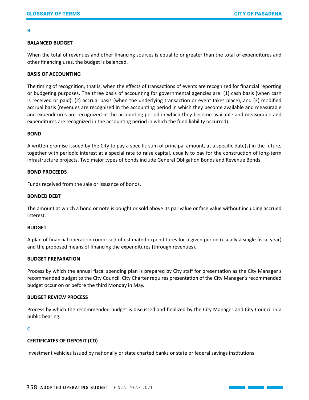### **B**

# **BALANCED BUDGET**

When the total of revenues and other financing sources is equal to or greater than the total of expenditures and other financing uses, the budget is balanced.

# **BASIS OF ACCOUNTING**

The timing of recognition, that is, when the effects of transactions of events are recognized for financial reporting or budgeting purposes. The three basis of accounting for governmental agencies are: (1) cash basis (when cash is received or paid), (2) accrual basis (when the underlying transaction or event takes place), and (3) modified accrual basis (revenues are recognized in the accounting period in which they become available and measurable and expenditures are recognized in the accounting period in which they become available and measurable and expenditures are recognized in the accounting period in which the fund liability occurred).

## **BOND**

A written promise issued by the City to pay a specific sum of principal amount, at a specific date(s) in the future, together with periodic interest at a special rate to raise capital, usually to pay for the construction of long-term infrastructure projects. Two major types of bonds include General Obligation Bonds and Revenue Bonds.

## **BOND PROCEEDS**

Funds received from the sale or issuance of bonds.

### **BONDED DEBT**

The amount at which a bond or note is bought or sold above its par value or face value without including accrued interest.

## **BUDGET**

A plan of financial operation comprised of estimated expenditures for a given period (usually a single fiscal year) and the proposed means of financing the expenditures (through revenues).

## **BUDGET PREPARATION**

Process by which the annual fiscal spending plan is prepared by City staff for presentation as the City Manager's recommended budget to the City Council. City Charter requires presentation of the City Manager's recommended budget occur on or before the third Monday in May.

## **BUDGET REVIEW PROCESS**

Process by which the recommended budget is discussed and finalized by the City Manager and City Council in a public hearing.

# **C**

# **CERTIFICATES OF DEPOSIT (CD)**

Investment vehicles issued by nationally or state charted banks or state or federal savings institutions.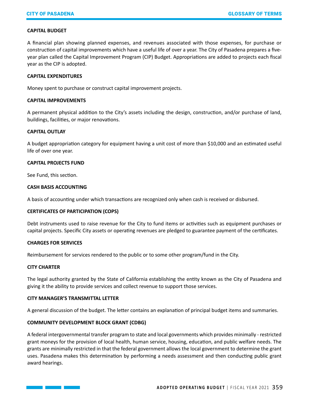## **CAPITAL BUDGET**

A financial plan showing planned expenses, and revenues associated with those expenses, for purchase or construction of capital improvements which have a useful life of over a year. The City of Pasadena prepares a fiveyear plan called the Capital Improvement Program (CIP) Budget. Appropriations are added to projects each fiscal year as the CIP is adopted.

## **CAPITAL EXPENDITURES**

Money spent to purchase or construct capital improvement projects.

## **CAPITAL IMPROVEMENTS**

A permanent physical addition to the City's assets including the design, construction, and/or purchase of land, buildings, facilities, or major renovations.

## **CAPITAL OUTLAY**

A budget appropriation category for equipment having a unit cost of more than \$10,000 and an estimated useful life of over one year.

## **CAPITAL PROJECTS FUND**

See Fund, this section.

# **CASH BASIS ACCOUNTING**

A basis of accounting under which transactions are recognized only when cash is received or disbursed.

### **CERTIFICATES OF PARTICIPATION (COPS)**

Debt instruments used to raise revenue for the City to fund items or activities such as equipment purchases or capital projects. Specific City assets or operating revenues are pledged to guarantee payment of the certificates.

### **CHARGES FOR SERVICES**

and the state of the state of the

Reimbursement for services rendered to the public or to some other program/fund in the City.

## **CITY CHARTER**

The legal authority granted by the State of California establishing the entity known as the City of Pasadena and giving it the ability to provide services and collect revenue to support those services.

## **CITY MANAGER'S TRANSMITTAL LETTER**

A general discussion of the budget. The letter contains an explanation of principal budget items and summaries.

# **COMMUNITY DEVELOPMENT BLOCK GRANT (CDBG)**

A federal intergovernmental transfer program to state and local governments which provides minimally - restricted grant moneys for the provision of local health, human service, housing, education, and public welfare needs. The grants are minimally restricted in that the federal government allows the local government to determine the grant uses. Pasadena makes this determination by performing a needs assessment and then conducting public grant award hearings.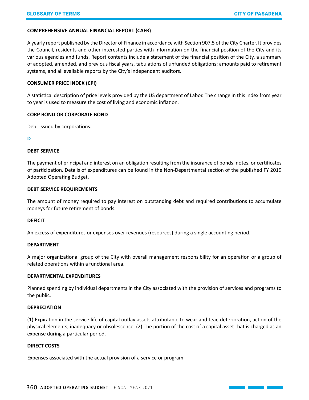## **COMPREHENSIVE ANNUAL FINANCIAL REPORT (CAFR)**

A yearly report published by the Director of Finance in accordance with Section 907.5 of the City Charter. It provides the Council, residents and other interested parties with information on the financial position of the City and its various agencies and funds. Report contents include a statement of the financial position of the City, a summary of adopted, amended, and previous fiscal years, tabulations of unfunded obligations; amounts paid to retirement systems, and all available reports by the City's independent auditors.

## **CONSUMER PRICE INDEX (CPI)**

A statistical description of price levels provided by the US department of Labor. The change in this index from year to year is used to measure the cost of living and economic inflation.

## **CORP BOND OR CORPORATE BOND**

Debt issued by corporations.

## **D**

## **DEBT SERVICE**

The payment of principal and interest on an obligation resulting from the insurance of bonds, notes, or certificates of participation. Details of expenditures can be found in the Non-Departmental section of the published FY 2019 Adopted Operating Budget.

### **DEBT SERVICE REQUIREMENTS**

The amount of money required to pay interest on outstanding debt and required contributions to accumulate moneys for future retirement of bonds.

### **DEFICIT**

An excess of expenditures or expenses over revenues (resources) during a single accounting period.

### **DEPARTMENT**

A major organizational group of the City with overall management responsibility for an operation or a group of related operations within a functional area.

## **DEPARTMENTAL EXPENDITURES**

Planned spending by individual departments in the City associated with the provision of services and programs to the public.

## **DEPRECIATION**

(1) Expiration in the service life of capital outlay assets attributable to wear and tear, deterioration, action of the physical elements, inadequacy or obsolescence. (2) The portion of the cost of a capital asset that is charged as an expense during a particular period.

# **DIRECT COSTS**

Expenses associated with the actual provision of a service or program.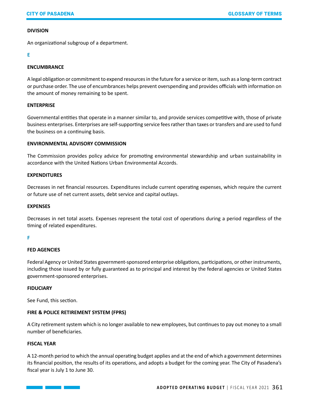# **DIVISION**

An organizational subgroup of a department.

# **E**

# **ENCUMBRANCE**

A legal obligation or commitment to expend resources in the future for a service or item, such as a long-term contract or purchase order. The use of encumbrances helps prevent overspending and provides officials with information on the amount of money remaining to be spent.

# **ENTERPRISE**

Governmental entities that operate in a manner similar to, and provide services competitive with, those of private business enterprises. Enterprises are self-supporting service fees rather than taxes or transfers and are used to fund the business on a continuing basis.

# **ENVIRONMENTAL ADVISORY COMMISSION**

The Commission provides policy advice for promoting environmental stewardship and urban sustainability in accordance with the United Nations Urban Environmental Accords.

# **EXPENDITURES**

Decreases in net financial resources. Expenditures include current operating expenses, which require the current or future use of net current assets, debt service and capital outlays.

# **EXPENSES**

Decreases in net total assets. Expenses represent the total cost of operations during a period regardless of the timing of related expenditures.

### **F**

# **FED AGENCIES**

Federal Agency or United States government-sponsored enterprise obligations, participations, or other instruments, including those issued by or fully guaranteed as to principal and interest by the federal agencies or United States government-sponsored enterprises.

# **FIDUCIARY**

See Fund, this section.

<u> 1999 - Jan Bartha, mart</u>

# **FIRE & POLICE RETIREMENT SYSTEM (FPRS)**

A City retirement system which is no longer available to new employees, but continues to pay out money to a small number of beneficiaries.

### **FISCAL YEAR**

A 12-month period to which the annual operating budget applies and at the end of which a government determines its financial position, the results of its operations, and adopts a budget for the coming year. The City of Pasadena's fiscal year is July 1 to June 30.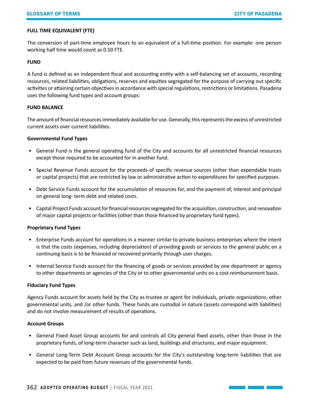# **FULL TIME EQUIVALENT (FTE)**

The conversion of part-time employee hours to an equivalent of a full-time position. For example: one person working half time would count as 0.50 FTE.

## **FUND**

A fund is defined as an independent fiscal and accounting entity with a self-balancing set of accounts, recording resources, related liabilities, obligations, reserves and equities segregated for the purpose of carrying out specific activities or attaining certain objectives in accordance with special regulations, restrictions or limitations. Pasadena uses the following fund types and account groups:

## **FUND BALANCE**

The amount of financial resources immediately available for use. Generally, this represents the excess of unrestricted current assets over current liabilities.

# **Governmental Fund Types**

- General Fund is the general operating fund of the City and accounts for all unrestricted financial resources except those required to be accounted for in another fund.
- Special Revenue Funds account for the proceeds of specific revenue sources (other than expendable trusts or capital projects) that are restricted by law or administrative action to expenditures for specified purposes.
- Debt Service Funds account for the accumulation of resources for, and the payment of, interest and principal on general long- term debt and related costs.
- Capital Project Funds account for financial resources segregated for the acquisition, construction, and renovation of major capital projects or facilities (other than those financed by proprietary fund types).

# **Proprietary Fund Types**

- Enterprise Funds account for operations in a manner similar to private business enterprises where the intent is that the costs (expenses, including depreciation) of providing goods or services to the general public on a continuing basis is to be financed or recovered primarily through user charges.
- Internal Service Funds account for the financing of goods or services provided by one department or agency to other departments or agencies of the City or to other governmental units on a cost-reimbursement basis.

### **Fiduciary Fund Types**

Agency Funds account for assets held by the City as trustee or agent for individuals, private organizations, other governmental units, and /or other funds. These funds are custodial in nature (assets correspond with liabilities) and do not involve measurement of results of operations.

# **Account Groups**

- General Fixed Asset Group accounts for and controls all City general fixed assets, other than those in the proprietary funds, of long-term character such as land, buildings and structures, and major equipment.
- General Long-Term Debt Account Group accounts for the City's outstanding long-term liabilities that are expected to be paid from future revenues of the governmental funds.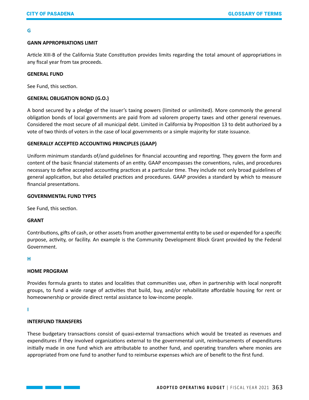### **G**

## **GANN APPROPRIATIONS LIMIT**

Article XIII-B of the California State Constitution provides limits regarding the total amount of appropriations in any fiscal year from tax proceeds.

### **GENERAL FUND**

See Fund, this section.

# **GENERAL OBLIGATION BOND (G.O.)**

A bond secured by a pledge of the issuer's taxing powers (limited or unlimited). More commonly the general obligation bonds of local governments are paid from ad valorem property taxes and other general revenues. Considered the most secure of all municipal debt. Limited in California by Proposition 13 to debt authorized by a vote of two thirds of voters in the case of local governments or a simple majority for state issuance.

## **GENERALLY ACCEPTED ACCOUNTING PRINCIPLES (GAAP)**

Uniform minimum standards of/and guidelines for financial accounting and reporting. They govern the form and content of the basic financial statements of an entity. GAAP encompasses the conventions, rules, and procedures necessary to define accepted accounting practices at a particular time. They include not only broad guidelines of general application, but also detailed practices and procedures. GAAP provides a standard by which to measure financial presentations.

### **GOVERNMENTAL FUND TYPES**

See Fund, this section.

## **GRANT**

Contributions, gifts of cash, or other assets from another governmental entity to be used or expended for a specific purpose, activity, or facility. An example is the Community Development Block Grant provided by the Federal Government.

## **H**

## **HOME PROGRAM**

Provides formula grants to states and localities that communities use, often in partnership with local nonprofit groups, to fund a wide range of activities that build, buy, and/or rehabilitate affordable housing for rent or homeownership or provide direct rental assistance to low-income people.

#### **I**

## **INTERFUND TRANSFERS**

and the state of the state of the state

These budgetary transactions consist of quasi-external transactions which would be treated as revenues and expenditures if they involved organizations external to the governmental unit, reimbursements of expenditures initially made in one fund which are attributable to another fund, and operating transfers where monies are appropriated from one fund to another fund to reimburse expenses which are of benefit to the first fund.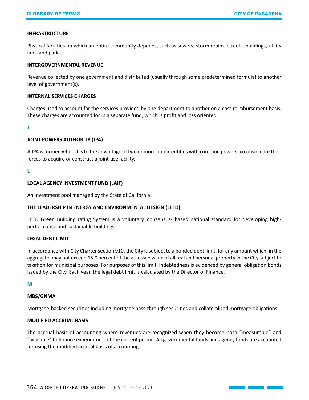# **INFRASTRUCTURE**

Physical facilities on which an entire community depends, such as sewers, storm drains, streets, buildings, utility lines and parks.

## **INTERGOVERNMENTAL REVENUE**

Revenue collected by one government and distributed (usually through some predetermined formula) to another level of government(s).

### **INTERNAL SERVICES CHARGES**

Charges used to account for the services provided by one department to another on a cost-reimbursement basis. These charges are accounted for in a separate fund, which is profit and loss oriented.

**J**

## **JOINT POWERS AUTHORITY (JPA)**

A JPA is formed when it is to the advantage of two or more public entities with common powers to consolidate their forces to acquire or construct a joint-use facility.

**L**

## **LOCAL AGENCY INVESTMENT FUND (LAIF)**

An investment pool managed by the State of California.

# **THE LEADERSHIP IN ENERGY AND ENVIRONMENTAL DESIGN (LEED)**

LEED Green Building rating System is a voluntary, consensus- based national standard for developing highperformance and sustainable buildings.

## **LEGAL DEBT LIMIT**

In accordance with City Charter section 910, the City is subject to a bonded debt limit, for any amount which, in the aggregate, may not exceed 15.0 percent of the assessed value of all real and personal property in the City subject to taxation for municipal purposes. For purposes of this limit, indebtedness is evidenced by general obligation bonds issued by the City. Each year, the legal debt limit is calculated by the Director of Finance.

**M**

### **MBS/GNMA**

Mortgage-backed securities including mortgage pass-through securities and collateralized mortgage obligations.

## **MODIFIED ACCRUAL BASIS**

The accrual basis of accounting where revenues are recognized when they become both "measurable" and "available" to finance expenditures of the current period. All governmental funds and agency funds are accounted for using the modified accrual basis of accounting.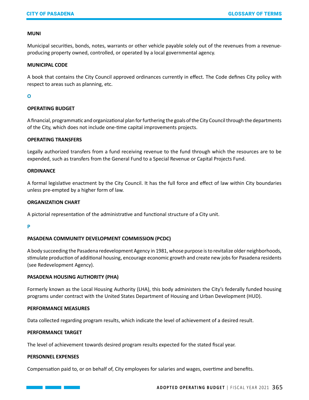## **MUNI**

Municipal securities, bonds, notes, warrants or other vehicle payable solely out of the revenues from a revenueproducing property owned, controlled, or operated by a local governmental agency.

### **MUNICIPAL CODE**

A book that contains the City Council approved ordinances currently in effect. The Code defines City policy with respect to areas such as planning, etc.

## **O**

## **OPERATING BUDGET**

A financial, programmatic and organizational plan for furthering the goals of the City Council through the departments of the City, which does not include one-time capital improvements projects.

### **OPERATING TRANSFERS**

Legally authorized transfers from a fund receiving revenue to the fund through which the resources are to be expended, such as transfers from the General Fund to a Special Revenue or Capital Projects Fund.

## **ORDINANCE**

A formal legislative enactment by the City Council. It has the full force and effect of law within City boundaries unless pre-empted by a higher form of law.

## **ORGANIZATION CHART**

A pictorial representation of the administrative and functional structure of a City unit.

**P**

# **PASADENA COMMUNITY DEVELOPMENT COMMISSION (PCDC)**

A body succeeding the Pasadena redevelopment Agency in 1981, whose purpose is to revitalize older neighborhoods, stimulate production of additional housing, encourage economic growth and create new jobs for Pasadena residents (see Redevelopment Agency).

### **PASADENA HOUSING AUTHORITY (PHA)**

Formerly known as the Local Housing Authority (LHA), this body administers the City's federally funded housing programs under contract with the United States Department of Housing and Urban Development (HUD).

## **PERFORMANCE MEASURES**

Data collected regarding program results, which indicate the level of achievement of a desired result.

## **PERFORMANCE TARGET**

The level of achievement towards desired program results expected for the stated fiscal year.

### **PERSONNEL EXPENSES**

and the state of the state of the

Compensation paid to, or on behalf of, City employees for salaries and wages, overtime and benefits.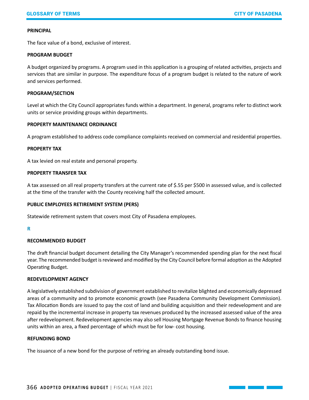### **PRINCIPAL**

The face value of a bond, exclusive of interest.

## **PROGRAM BUDGET**

A budget organized by programs. A program used in this application is a grouping of related activities, projects and services that are similar in purpose. The expenditure focus of a program budget is related to the nature of work and services performed.

## **PROGRAM/SECTION**

Level at which the City Council appropriates funds within a department. In general, programs refer to distinct work units or service providing groups within departments.

## **PROPERTY MAINTENANCE ORDINANCE**

A program established to address code compliance complaints received on commercial and residential properties.

### **PROPERTY TAX**

A tax levied on real estate and personal property.

## **PROPERTY TRANSFER TAX**

A tax assessed on all real property transfers at the current rate of \$.55 per \$500 in assessed value, and is collected at the time of the transfer with the County receiving half the collected amount.

# **PUBLIC EMPLOYEES RETIREMENT SYSTEM (PERS)**

Statewide retirement system that covers most City of Pasadena employees.

### **R**

# **RECOMMENDED BUDGET**

The draft financial budget document detailing the City Manager's recommended spending plan for the next fiscal year. The recommended budget is reviewed and modified by the City Council before formal adoption as the Adopted Operating Budget.

# **REDEVELOPMENT AGENCY**

A legislatively established subdivision of government established to revitalize blighted and economically depressed areas of a community and to promote economic growth (see Pasadena Community Development Commission). Tax Allocation Bonds are issued to pay the cost of land and building acquisition and their redevelopment and are repaid by the incremental increase in property tax revenues produced by the increased assessed value of the area after redevelopment. Redevelopment agencies may also sell Housing Mortgage Revenue Bonds to finance housing units within an area, a fixed percentage of which must be for low- cost housing.

## **REFUNDING BOND**

The issuance of a new bond for the purpose of retiring an already outstanding bond issue.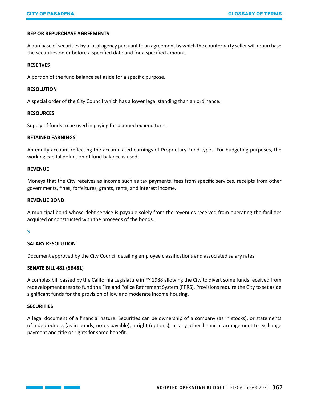## **REP OR REPURCHASE AGREEMENTS**

A purchase of securities by a local agency pursuant to an agreement by which the counterparty seller will repurchase the securities on or before a specified date and for a specified amount.

### **RESERVES**

A portion of the fund balance set aside for a specific purpose.

## **RESOLUTION**

A special order of the City Council which has a lower legal standing than an ordinance.

## **RESOURCES**

Supply of funds to be used in paying for planned expenditures.

### **RETAINED EARNINGS**

An equity account reflecting the accumulated earnings of Proprietary Fund types. For budgeting purposes, the working capital definition of fund balance is used.

### **REVENUE**

Moneys that the City receives as income such as tax payments, fees from specific services, receipts from other governments, fines, forfeitures, grants, rents, and interest income.

### **REVENUE BOND**

A municipal bond whose debt service is payable solely from the revenues received from operating the facilities acquired or constructed with the proceeds of the bonds.

### **S**

# **SALARY RESOLUTION**

Document approved by the City Council detailing employee classifications and associated salary rates.

### **SENATE BILL 481 (SB481)**

A complex bill passed by the California Legislature in FY 1988 allowing the City to divert some funds received from redevelopment areas to fund the Fire and Police Retirement System (FPRS). Provisions require the City to set aside significant funds for the provision of low and moderate income housing.

### **SECURITIES**

A legal document of a financial nature. Securities can be ownership of a company (as in stocks), or statements of indebtedness (as in bonds, notes payable), a right (options), or any other financial arrangement to exchange payment and title or rights for some benefit.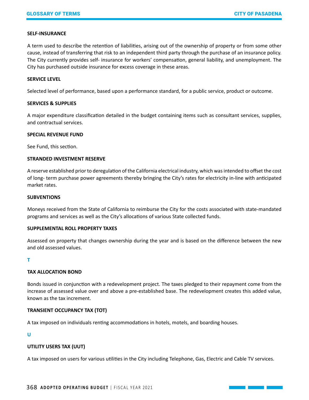## **SELF-INSURANCE**

A term used to describe the retention of liabilities, arising out of the ownership of property or from some other cause, instead of transferring that risk to an independent third party through the purchase of an insurance policy. The City currently provides self- insurance for workers' compensation, general liability, and unemployment. The City has purchased outside insurance for excess coverage in these areas.

## **SERVICE LEVEL**

Selected level of performance, based upon a performance standard, for a public service, product or outcome.

## **SERVICES & SUPPLIES**

A major expenditure classification detailed in the budget containing items such as consultant services, supplies, and contractual services.

## **SPECIAL REVENUE FUND**

See Fund, this section.

## **STRANDED INVESTMENT RESERVE**

A reserve established prior to deregulation of the California electrical industry, which was intended to offset the cost of long- term purchase power agreements thereby bringing the City's rates for electricity in-line with anticipated market rates.

## **SUBVENTIONS**

Moneys received from the State of California to reimburse the City for the costs associated with state-mandated programs and services as well as the City's allocations of various State collected funds.

## **SUPPLEMENTAL ROLL PROPERTY TAXES**

Assessed on property that changes ownership during the year and is based on the difference between the new and old assessed values.

### **T**

# **TAX ALLOCATION BOND**

Bonds issued in conjunction with a redevelopment project. The taxes pledged to their repayment come from the increase of assessed value over and above a pre-established base. The redevelopment creates this added value, known as the tax increment.

# **TRANSIENT OCCUPANCY TAX (TOT)**

A tax imposed on individuals renting accommodations in hotels, motels, and boarding houses.

# **U**

# **UTILITY USERS TAX (UUT)**

A tax imposed on users for various utilities in the City including Telephone, Gas, Electric and Cable TV services.